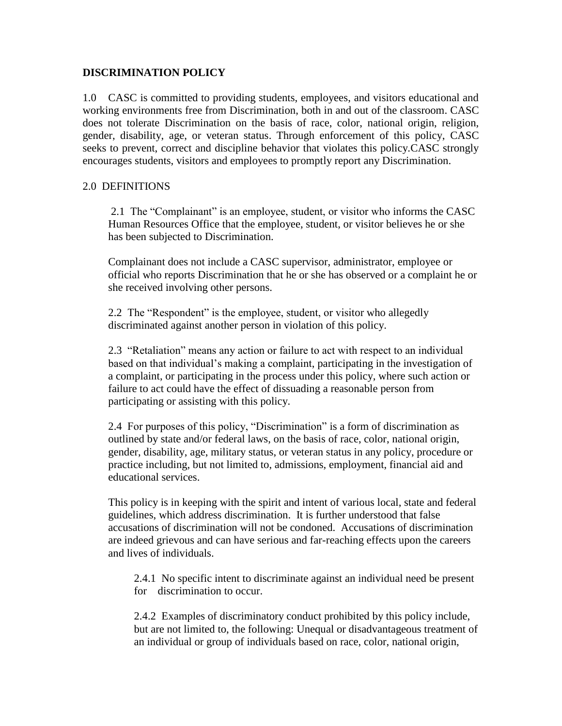## **DISCRIMINATION POLICY**

1.0 CASC is committed to providing students, employees, and visitors educational and working environments free from Discrimination, both in and out of the classroom. CASC does not tolerate Discrimination on the basis of race, color, national origin, religion, gender, disability, age, or veteran status. Through enforcement of this policy, CASC seeks to prevent, correct and discipline behavior that violates this policy.CASC strongly encourages students, visitors and employees to promptly report any Discrimination.

## 2.0 DEFINITIONS

2.1 The "Complainant" is an employee, student, or visitor who informs the CASC Human Resources Office that the employee, student, or visitor believes he or she has been subjected to Discrimination.

Complainant does not include a CASC supervisor, administrator, employee or official who reports Discrimination that he or she has observed or a complaint he or she received involving other persons.

2.2 The "Respondent" is the employee, student, or visitor who allegedly discriminated against another person in violation of this policy.

2.3 "Retaliation" means any action or failure to act with respect to an individual based on that individual's making a complaint, participating in the investigation of a complaint, or participating in the process under this policy, where such action or failure to act could have the effect of dissuading a reasonable person from participating or assisting with this policy.

2.4 For purposes of this policy, "Discrimination" is a form of discrimination as outlined by state and/or federal laws, on the basis of race, color, national origin, gender, disability, age, military status, or veteran status in any policy, procedure or practice including, but not limited to, admissions, employment, financial aid and educational services.

This policy is in keeping with the spirit and intent of various local, state and federal guidelines, which address discrimination. It is further understood that false accusations of discrimination will not be condoned. Accusations of discrimination are indeed grievous and can have serious and far-reaching effects upon the careers and lives of individuals.

2.4.1 No specific intent to discriminate against an individual need be present for discrimination to occur.

2.4.2 Examples of discriminatory conduct prohibited by this policy include, but are not limited to, the following: Unequal or disadvantageous treatment of an individual or group of individuals based on race, color, national origin,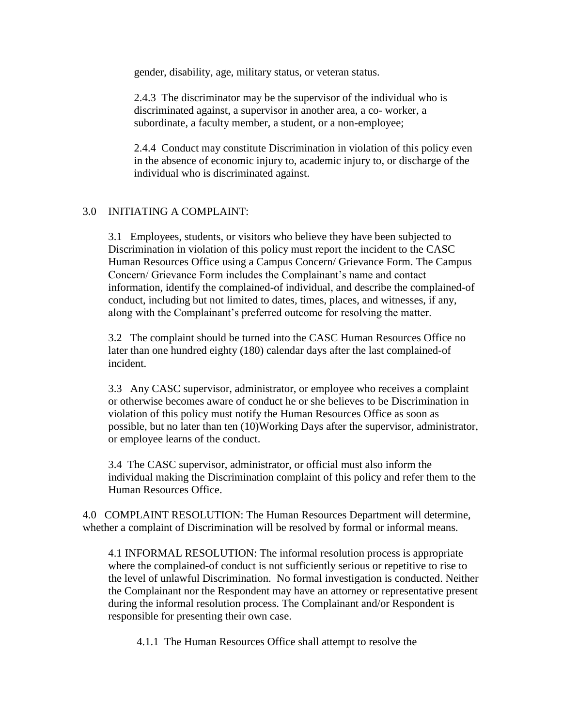gender, disability, age, military status, or veteran status.

2.4.3 The discriminator may be the supervisor of the individual who is discriminated against, a supervisor in another area, a co- worker, a subordinate, a faculty member, a student, or a non-employee;

2.4.4 Conduct may constitute Discrimination in violation of this policy even in the absence of economic injury to, academic injury to, or discharge of the individual who is discriminated against.

## 3.0 INITIATING A COMPLAINT:

3.1 Employees, students, or visitors who believe they have been subjected to Discrimination in violation of this policy must report the incident to the CASC Human Resources Office using a Campus Concern/ Grievance Form. The Campus Concern/ Grievance Form includes the Complainant's name and contact information, identify the complained-of individual, and describe the complained-of conduct, including but not limited to dates, times, places, and witnesses, if any, along with the Complainant's preferred outcome for resolving the matter.

3.2 The complaint should be turned into the CASC Human Resources Office no later than one hundred eighty (180) calendar days after the last complained-of incident.

3.3 Any CASC supervisor, administrator, or employee who receives a complaint or otherwise becomes aware of conduct he or she believes to be Discrimination in violation of this policy must notify the Human Resources Office as soon as possible, but no later than ten (10)Working Days after the supervisor, administrator, or employee learns of the conduct.

3.4 The CASC supervisor, administrator, or official must also inform the individual making the Discrimination complaint of this policy and refer them to the Human Resources Office.

4.0 COMPLAINT RESOLUTION: The Human Resources Department will determine, whether a complaint of Discrimination will be resolved by formal or informal means.

4.1 INFORMAL RESOLUTION: The informal resolution process is appropriate where the complained-of conduct is not sufficiently serious or repetitive to rise to the level of unlawful Discrimination. No formal investigation is conducted. Neither the Complainant nor the Respondent may have an attorney or representative present during the informal resolution process. The Complainant and/or Respondent is responsible for presenting their own case.

4.1.1 The Human Resources Office shall attempt to resolve the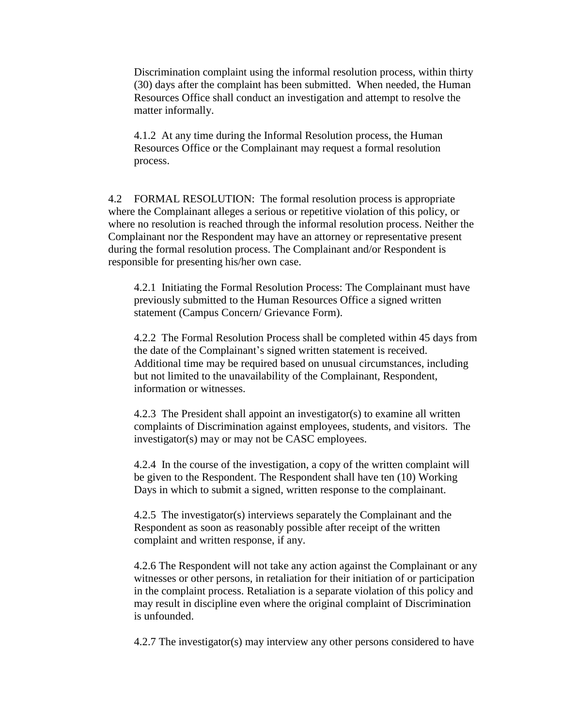Discrimination complaint using the informal resolution process, within thirty (30) days after the complaint has been submitted. When needed, the Human Resources Office shall conduct an investigation and attempt to resolve the matter informally.

4.1.2 At any time during the Informal Resolution process, the Human Resources Office or the Complainant may request a formal resolution process.

4.2 FORMAL RESOLUTION: The formal resolution process is appropriate where the Complainant alleges a serious or repetitive violation of this policy, or where no resolution is reached through the informal resolution process. Neither the Complainant nor the Respondent may have an attorney or representative present during the formal resolution process. The Complainant and/or Respondent is responsible for presenting his/her own case.

4.2.1 Initiating the Formal Resolution Process: The Complainant must have previously submitted to the Human Resources Office a signed written statement (Campus Concern/ Grievance Form).

4.2.2 The Formal Resolution Process shall be completed within 45 days from the date of the Complainant's signed written statement is received. Additional time may be required based on unusual circumstances, including but not limited to the unavailability of the Complainant, Respondent, information or witnesses.

4.2.3 The President shall appoint an investigator(s) to examine all written complaints of Discrimination against employees, students, and visitors. The investigator(s) may or may not be CASC employees.

4.2.4 In the course of the investigation, a copy of the written complaint will be given to the Respondent. The Respondent shall have ten (10) Working Days in which to submit a signed, written response to the complainant.

4.2.5 The investigator(s) interviews separately the Complainant and the Respondent as soon as reasonably possible after receipt of the written complaint and written response, if any.

4.2.6 The Respondent will not take any action against the Complainant or any witnesses or other persons, in retaliation for their initiation of or participation in the complaint process. Retaliation is a separate violation of this policy and may result in discipline even where the original complaint of Discrimination is unfounded.

4.2.7 The investigator(s) may interview any other persons considered to have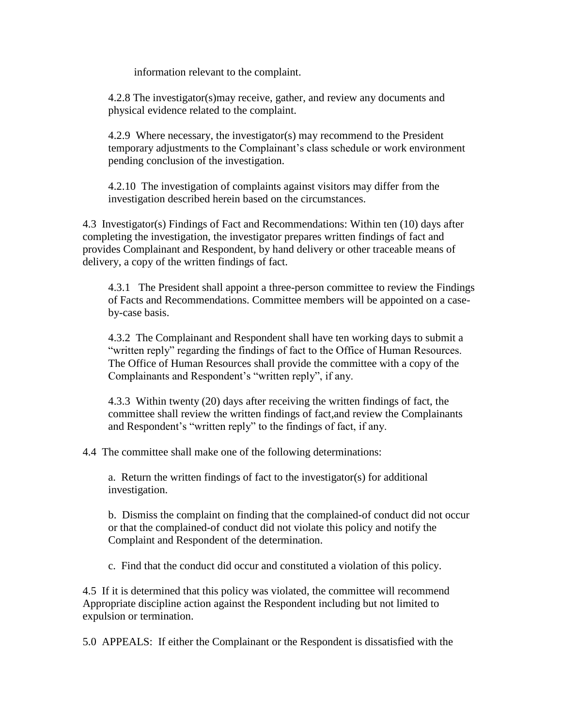information relevant to the complaint.

4.2.8 The investigator(s)may receive, gather, and review any documents and physical evidence related to the complaint.

4.2.9 Where necessary, the investigator(s) may recommend to the President temporary adjustments to the Complainant's class schedule or work environment pending conclusion of the investigation.

4.2.10 The investigation of complaints against visitors may differ from the investigation described herein based on the circumstances.

4.3 Investigator(s) Findings of Fact and Recommendations: Within ten (10) days after completing the investigation, the investigator prepares written findings of fact and provides Complainant and Respondent, by hand delivery or other traceable means of delivery, a copy of the written findings of fact.

4.3.1 The President shall appoint a three-person committee to review the Findings of Facts and Recommendations. Committee members will be appointed on a caseby-case basis.

4.3.2 The Complainant and Respondent shall have ten working days to submit a "written reply" regarding the findings of fact to the Office of Human Resources. The Office of Human Resources shall provide the committee with a copy of the Complainants and Respondent's "written reply", if any.

4.3.3 Within twenty (20) days after receiving the written findings of fact, the committee shall review the written findings of fact,and review the Complainants and Respondent's "written reply" to the findings of fact, if any.

4.4 The committee shall make one of the following determinations:

a. Return the written findings of fact to the investigator(s) for additional investigation.

b. Dismiss the complaint on finding that the complained-of conduct did not occur or that the complained-of conduct did not violate this policy and notify the Complaint and Respondent of the determination.

c. Find that the conduct did occur and constituted a violation of this policy.

4.5 If it is determined that this policy was violated, the committee will recommend Appropriate discipline action against the Respondent including but not limited to expulsion or termination.

5.0 APPEALS: If either the Complainant or the Respondent is dissatisfied with the